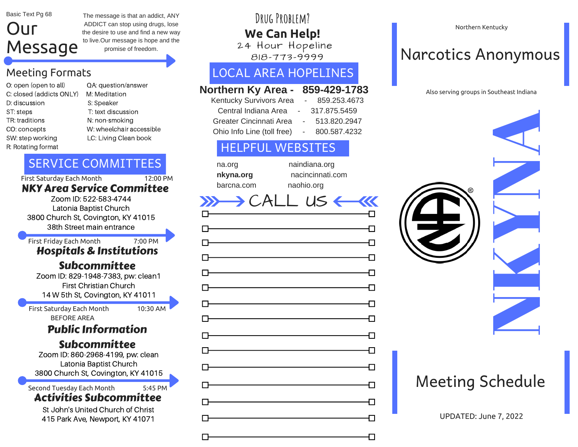Basic Text Pg 68

## Our Message

The message is that an addict, ANY ADDICT can stop using drugs, lose the desire to use and find a new way to live.Our message is hope and the promise of freedom.

## Meeting Formats

- C: closed (addicts ONLY) M: Meditation D: discussion S: Speaker ST: steps T: text discussion TR: traditions N: non-smoking R: Rotating format
- O: open (open to all) QA: question/answer CO: concepts W: wheelchair accessible SW: step working LC: Living Clean book

## SERVICE COMMITTEES

First Saturday Each Month 12:00 PM

### NKY Area Service Committee

Zoom ID: 522-583-4744 Latonia Baptist Church 3800 Church St, Covington, KY 41015 38th Street main entrance

First Friday Each Month 7:00 PM

## Hospitals & Institutions

## Subcommittee

Zoom ID: 829-1948-7383, pw: clean1 First Christian Church 14 W 5th St, Covington, KY 41011

First Saturday Each Month 10:30 AM BEFORE AREA

## Public Information

## Subcommittee

Zoom ID: 860-2968-4199, pw: clean Latonia Baptist Church 3800 Church St, Covington, KY 41015

## Second Tuesday Each Month 5:45 PM

## Activities Subcommittee

St John's United Church of Christ 415 Park Ave, Newport, KY 41071

## **Drug Problem? We Can Help!**

24 Hour Hopeline 818-773-9999

## LOCAL AREA HOPELINES

### **Northern Ky Area - 859-429-1783**

| Kentucky Survivors Area    | 859.253.4673 |
|----------------------------|--------------|
| Central Indiana Area       | 317.875.5459 |
| Greater Cincinnati Area    | 513.820.2947 |
| Ohio Info Line (toll free) | 800.587.4232 |

## HELPFUL WEBSITES

| na.org     |
|------------|
| nkyna.org  |
| barcna.com |

naindiana.org **nkyna.org** nacincinnati.com naohio.org

#### $X \rightarrow CALL$  us  $\leftarrow$ **KKK**

# ᆩ Л П П Л 勹 门  $\mathsf{L}$

Northern Kentucky

## Narcotics Anonymous



## Meeting Schedule

UPDATED: June 7, 2022